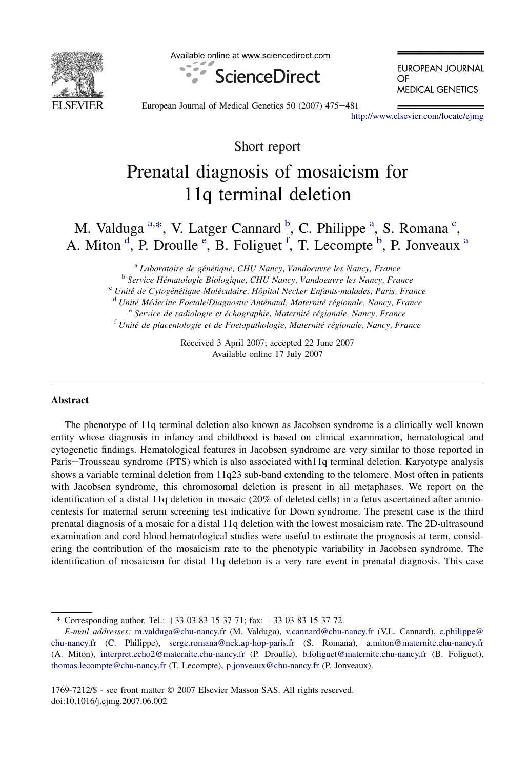

Available online at www.sciencedirect.com



**EUROPEAN JOURNAL** OF **MEDICAL GENETICS** 

European Journal of Medical Genetics 50 (2007) 475-481

<http://www.elsevier.com/locate/ejmg>

Short report

# Prenatal diagnosis of mosaicism for 11q terminal deletion

M. Valduga <sup>a,\*</sup>, V. Latger Cannard <sup>b</sup>, C. Philippe <sup>a</sup>, S. Romana <sup>c</sup>, A. Miton  $\overset{d}{\cdot}$ , P. Droulle  $\overset{e}{\cdot}$ , B. Foliguet  $\overset{f}{\cdot}$ , T. Lecompte  $\overset{b}{\cdot}$ , P. Jonveaux  $\overset{a}{\cdot}$ 

<sup>a</sup> Laboratoire de génétique, CHU Nancy, Vandoeuvre les Nancy, France<br><sup>b</sup> Service Hématologie Biologique, CHU Nancy, Vandoeuvre les Nancy, France<br><sup>c</sup> Unité de Cytogénétique Moléculaire, Hôpital Necker Enfants-malades, Par

Received 3 April 2007; accepted 22 June 2007 Available online 17 July 2007

#### Abstract

The phenotype of 11q terminal deletion also known as Jacobsen syndrome is a clinically well known entity whose diagnosis in infancy and childhood is based on clinical examination, hematological and cytogenetic findings. Hematological features in Jacobsen syndrome are very similar to those reported in Paris-Trousseau syndrome (PTS) which is also associated with11q terminal deletion. Karyotype analysis shows a variable terminal deletion from 11q23 sub-band extending to the telomere. Most often in patients with Jacobsen syndrome, this chromosomal deletion is present in all metaphases. We report on the identification of a distal 11q deletion in mosaic (20% of deleted cells) in a fetus ascertained after amniocentesis for maternal serum screening test indicative for Down syndrome. The present case is the third prenatal diagnosis of a mosaic for a distal 11q deletion with the lowest mosaicism rate. The 2D-ultrasound examination and cord blood hematological studies were useful to estimate the prognosis at term, considering the contribution of the mosaicism rate to the phenotypic variability in Jacobsen syndrome. The identification of mosaicism for distal 11q deletion is a very rare event in prenatal diagnosis. This case

<sup>\*</sup> Corresponding author. Tel.:  $+33$  03 83 15 37 71; fax:  $+33$  03 83 15 37 72.

E-mail addresses: [m.valduga@chu-nancy.fr](mailto:m.valduga@chu-nancy.fr) (M. Valduga), [v.cannard@chu-nancy.fr](mailto:v.cannard@chu-nancy.fr) (V.L. Cannard), [c.philippe@](mailto:c.philippe@chu-nancy.fr) [chu-nancy.fr](mailto:c.philippe@chu-nancy.fr) (C. Philippe), [serge.romana@nck.ap-hop-paris.fr](mailto:serge.romana@nck.ap-hop-paris.fr) (S. Romana), [a.miton@maternite.chu-nancy.fr](mailto:a.miton@maternite.chu-nancy.fr) (A. Miton), [interpret.echo2@maternite.chu-nancy.fr](mailto:interpret.echo2@maternite.chu-nancy.fr) (P. Droulle), [b.foliguet@maternite.chu-nancy.fr](mailto:b.foliguet@maternite.chu-nancy.fr) (B. Foliguet), [thomas.lecompte@chu-nancy.fr](mailto:thomas.lecompte@chu-nancy.fr) (T. Lecompte), [p.jonveaux@chu-nancy.fr](mailto:p.jonveaux@chu-nancy.fr) (P. Jonveaux).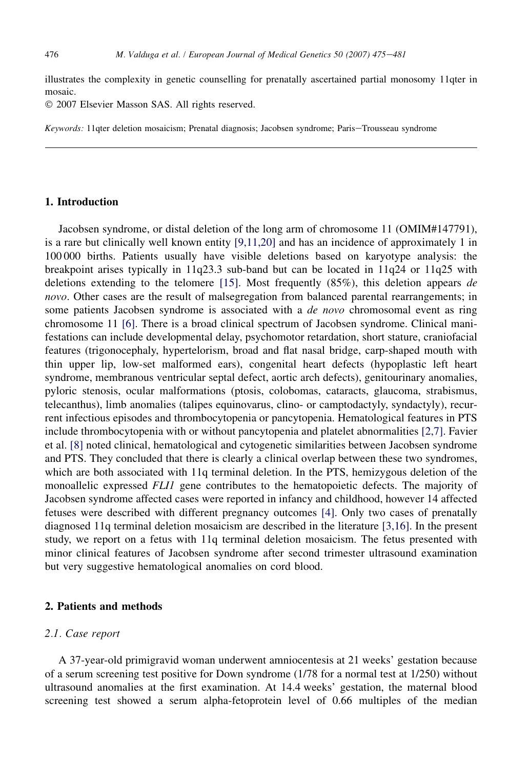illustrates the complexity in genetic counselling for prenatally ascertained partial monosomy 11qter in mosaic.

© 2007 Elsevier Masson SAS. All rights reserved.

Keywords: 11qter deletion mosaicism; Prenatal diagnosis; Jacobsen syndrome; Paris-Trousseau syndrome

# 1. Introduction

Jacobsen syndrome, or distal deletion of the long arm of chromosome 11 (OMIM#147791), is a rare but clinically well known entity [\[9,11,20\]](#page-6-0) and has an incidence of approximately 1 in 100 000 births. Patients usually have visible deletions based on karyotype analysis: the breakpoint arises typically in 11q23.3 sub-band but can be located in 11q24 or 11q25 with deletions extending to the telomere  $[15]$ . Most frequently  $(85\%)$ , this deletion appears de novo. Other cases are the result of malsegregation from balanced parental rearrangements; in some patients Jacobsen syndrome is associated with a de novo chromosomal event as ring chromosome 11 [\[6\].](#page-6-0) There is a broad clinical spectrum of Jacobsen syndrome. Clinical manifestations can include developmental delay, psychomotor retardation, short stature, craniofacial features (trigonocephaly, hypertelorism, broad and flat nasal bridge, carp-shaped mouth with thin upper lip, low-set malformed ears), congenital heart defects (hypoplastic left heart syndrome, membranous ventricular septal defect, aortic arch defects), genitourinary anomalies, pyloric stenosis, ocular malformations (ptosis, colobomas, cataracts, glaucoma, strabismus, telecanthus), limb anomalies (talipes equinovarus, clino- or camptodactyly, syndactyly), recurrent infectious episodes and thrombocytopenia or pancytopenia. Hematological features in PTS include thrombocytopenia with or without pancytopenia and platelet abnormalities [\[2,7\]](#page-6-0). Favier et al. [\[8\]](#page-6-0) noted clinical, hematological and cytogenetic similarities between Jacobsen syndrome and PTS. They concluded that there is clearly a clinical overlap between these two syndromes, which are both associated with 11q terminal deletion. In the PTS, hemizygous deletion of the monoallelic expressed FLI1 gene contributes to the hematopoietic defects. The majority of Jacobsen syndrome affected cases were reported in infancy and childhood, however 14 affected fetuses were described with different pregnancy outcomes [\[4\].](#page-6-0) Only two cases of prenatally diagnosed 11q terminal deletion mosaicism are described in the literature [\[3,16\]](#page-6-0). In the present study, we report on a fetus with 11q terminal deletion mosaicism. The fetus presented with minor clinical features of Jacobsen syndrome after second trimester ultrasound examination but very suggestive hematological anomalies on cord blood.

#### 2. Patients and methods

# 2.1. Case report

A 37-year-old primigravid woman underwent amniocentesis at 21 weeks' gestation because of a serum screening test positive for Down syndrome (1/78 for a normal test at 1/250) without ultrasound anomalies at the first examination. At 14.4 weeks' gestation, the maternal blood screening test showed a serum alpha-fetoprotein level of 0.66 multiples of the median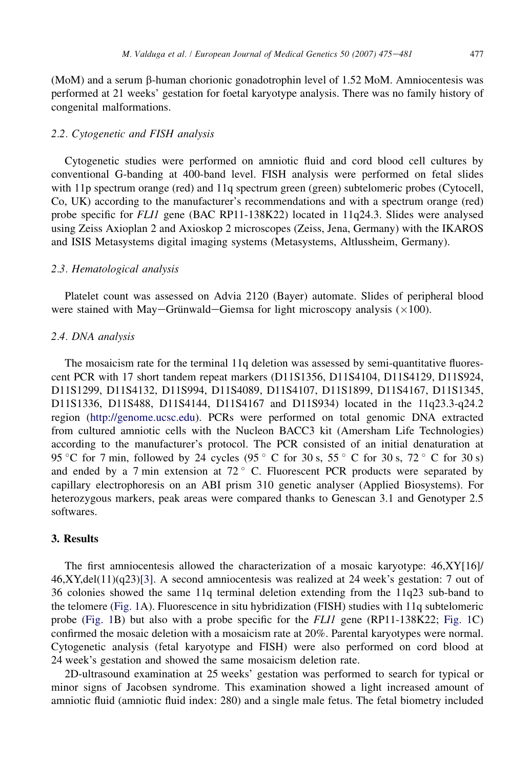(MoM) and a serum b-human chorionic gonadotrophin level of 1.52 MoM. Amniocentesis was performed at 21 weeks' gestation for foetal karyotype analysis. There was no family history of congenital malformations.

## 2.2. Cytogenetic and FISH analysis

Cytogenetic studies were performed on amniotic fluid and cord blood cell cultures by conventional G-banding at 400-band level. FISH analysis were performed on fetal slides with 11p spectrum orange (red) and 11q spectrum green (green) subtelomeric probes (Cytocell, Co, UK) according to the manufacturer's recommendations and with a spectrum orange (red) probe specific for FLI1 gene (BAC RP11-138K22) located in 11q24.3. Slides were analysed using Zeiss Axioplan 2 and Axioskop 2 microscopes (Zeiss, Jena, Germany) with the IKAROS and ISIS Metasystems digital imaging systems (Metasystems, Altlussheim, Germany).

# 2.3. Hematological analysis

Platelet count was assessed on Advia 2120 (Bayer) automate. Slides of peripheral blood were stained with May–Grünwald–Giemsa for light microscopy analysis  $(\times 100)$ .

# 2.4. DNA analysis

The mosaicism rate for the terminal 11q deletion was assessed by semi-quantitative fluorescent PCR with 17 short tandem repeat markers (D11S1356, D11S4104, D11S4129, D11S924, D11S1299, D11S4132, D11S994, D11S4089, D11S4107, D11S1899, D11S4167, D11S1345, D11S1336, D11S488, D11S4144, D11S4167 and D11S934) located in the 11q23.3-q24.2 region ([http://genome.ucsc.edu\)](http://genome.ucsc.edu). PCRs were performed on total genomic DNA extracted from cultured amniotic cells with the Nucleon BACC3 kit (Amersham Life Technologies) according to the manufacturer's protocol. The PCR consisted of an initial denaturation at 95 °C for 7 min, followed by 24 cycles (95 °C for 30 s, 55 °C for 30 s, 72 °C for 30 s) and ended by a 7 min extension at  $72^{\circ}$  C. Fluorescent PCR products were separated by capillary electrophoresis on an ABI prism 310 genetic analyser (Applied Biosystems). For heterozygous markers, peak areas were compared thanks to Genescan 3.1 and Genotyper 2.5 softwares.

## 3. Results

The first amniocentesis allowed the characterization of a mosaic karyotype: 46,XY[16]/  $46, XY, del(11)(q23)[3]$ . A second amniocentesis was realized at 24 week's gestation: 7 out of 36 colonies showed the same 11q terminal deletion extending from the 11q23 sub-band to the telomere ([Fig. 1](#page-3-0)A). Fluorescence in situ hybridization (FISH) studies with 11q subtelomeric probe ([Fig. 1B](#page-3-0)) but also with a probe specific for the FLI1 gene (RP11-138K22; [Fig. 1C](#page-3-0)) confirmed the mosaic deletion with a mosaicism rate at 20%. Parental karyotypes were normal. Cytogenetic analysis (fetal karyotype and FISH) were also performed on cord blood at 24 week's gestation and showed the same mosaicism deletion rate.

2D-ultrasound examination at 25 weeks' gestation was performed to search for typical or minor signs of Jacobsen syndrome. This examination showed a light increased amount of amniotic fluid (amniotic fluid index: 280) and a single male fetus. The fetal biometry included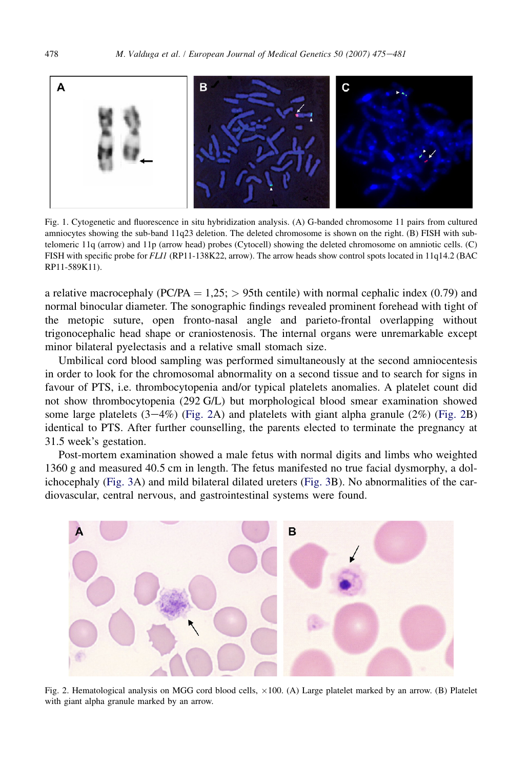<span id="page-3-0"></span>

Fig. 1. Cytogenetic and fluorescence in situ hybridization analysis. (A) G-banded chromosome 11 pairs from cultured amniocytes showing the sub-band 11q23 deletion. The deleted chromosome is shown on the right. (B) FISH with subtelomeric 11q (arrow) and 11p (arrow head) probes (Cytocell) showing the deleted chromosome on amniotic cells. (C) FISH with specific probe for FLI1 (RP11-138K22, arrow). The arrow heads show control spots located in 11q14.2 (BAC RP11-589K11).

a relative macrocephaly (PC/PA =  $1,25$ ; > 95th centile) with normal cephalic index (0.79) and normal binocular diameter. The sonographic findings revealed prominent forehead with tight of the metopic suture, open fronto-nasal angle and parieto-frontal overlapping without trigonocephalic head shape or craniostenosis. The internal organs were unremarkable except minor bilateral pyelectasis and a relative small stomach size.

Umbilical cord blood sampling was performed simultaneously at the second amniocentesis in order to look for the chromosomal abnormality on a second tissue and to search for signs in favour of PTS, i.e. thrombocytopenia and/or typical platelets anomalies. A platelet count did not show thrombocytopenia (292 G/L) but morphological blood smear examination showed some large platelets  $(3-4\%)$  (Fig. 2A) and platelets with giant alpha granule  $(2\%)$  (Fig. 2B) identical to PTS. After further counselling, the parents elected to terminate the pregnancy at 31.5 week's gestation.

Post-mortem examination showed a male fetus with normal digits and limbs who weighted 1360 g and measured 40.5 cm in length. The fetus manifested no true facial dysmorphy, a dolichocephaly [\(Fig. 3](#page-4-0)A) and mild bilateral dilated ureters [\(Fig. 3B](#page-4-0)). No abnormalities of the cardiovascular, central nervous, and gastrointestinal systems were found.



Fig. 2. Hematological analysis on MGG cord blood cells,  $\times 100$ . (A) Large platelet marked by an arrow. (B) Platelet with giant alpha granule marked by an arrow.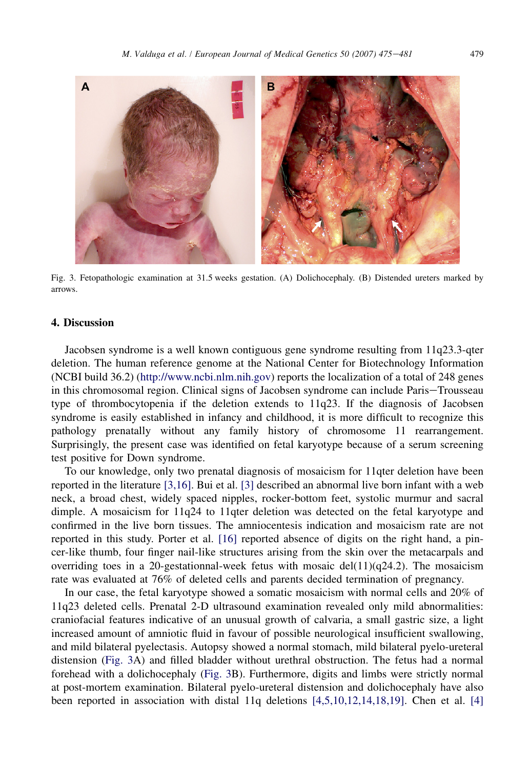<span id="page-4-0"></span>

Fig. 3. Fetopathologic examination at 31.5 weeks gestation. (A) Dolichocephaly. (B) Distended ureters marked by arrows.

## 4. Discussion

Jacobsen syndrome is a well known contiguous gene syndrome resulting from 11q23.3-qter deletion. The human reference genome at the National Center for Biotechnology Information (NCBI build 36.2) [\(http://www.ncbi.nlm.nih.gov\)](http://www.ncbi.nlm.nih.gov) reports the localization of a total of 248 genes in this chromosomal region. Clinical signs of Jacobsen syndrome can include Paris-Trousseau type of thrombocytopenia if the deletion extends to 11q23. If the diagnosis of Jacobsen syndrome is easily established in infancy and childhood, it is more difficult to recognize this pathology prenatally without any family history of chromosome 11 rearrangement. Surprisingly, the present case was identified on fetal karyotype because of a serum screening test positive for Down syndrome.

To our knowledge, only two prenatal diagnosis of mosaicism for 11qter deletion have been reported in the literature [\[3,16\]](#page-6-0). Bui et al. [\[3\]](#page-6-0) described an abnormal live born infant with a web neck, a broad chest, widely spaced nipples, rocker-bottom feet, systolic murmur and sacral dimple. A mosaicism for 11q24 to 11qter deletion was detected on the fetal karyotype and confirmed in the live born tissues. The amniocentesis indication and mosaicism rate are not reported in this study. Porter et al. [\[16\]](#page-6-0) reported absence of digits on the right hand, a pincer-like thumb, four finger nail-like structures arising from the skin over the metacarpals and overriding toes in a 20-gestationnal-week fetus with mosaic del(11)( $q24.2$ ). The mosaicism rate was evaluated at 76% of deleted cells and parents decided termination of pregnancy.

In our case, the fetal karyotype showed a somatic mosaicism with normal cells and 20% of 11q23 deleted cells. Prenatal 2-D ultrasound examination revealed only mild abnormalities: craniofacial features indicative of an unusual growth of calvaria, a small gastric size, a light increased amount of amniotic fluid in favour of possible neurological insufficient swallowing, and mild bilateral pyelectasis. Autopsy showed a normal stomach, mild bilateral pyelo-ureteral distension (Fig. 3A) and filled bladder without urethral obstruction. The fetus had a normal forehead with a dolichocephaly (Fig. 3B). Furthermore, digits and limbs were strictly normal at post-mortem examination. Bilateral pyelo-ureteral distension and dolichocephaly have also been reported in association with distal 11q deletions [\[4,5,10,12,14,18,19\].](#page-6-0) Chen et al. [\[4\]](#page-6-0)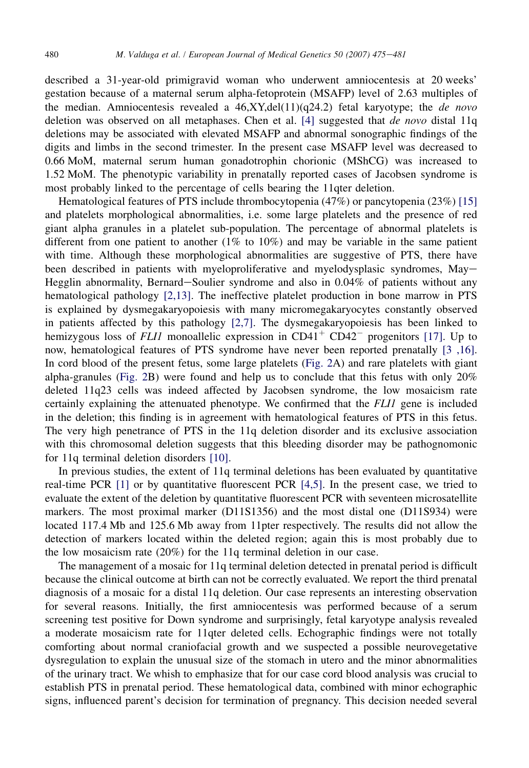described a 31-year-old primigravid woman who underwent amniocentesis at 20 weeks' gestation because of a maternal serum alpha-fetoprotein (MSAFP) level of 2.63 multiples of the median. Amniocentesis revealed a  $46, XY$ ,del $(11)(q24.2)$  fetal karyotype; the *de novo* deletion was observed on all metaphases. Chen et al. [\[4\]](#page-6-0) suggested that *de novo* distal 11q deletions may be associated with elevated MSAFP and abnormal sonographic findings of the digits and limbs in the second trimester. In the present case MSAFP level was decreased to 0.66 MoM, maternal serum human gonadotrophin chorionic (MShCG) was increased to 1.52 MoM. The phenotypic variability in prenatally reported cases of Jacobsen syndrome is most probably linked to the percentage of cells bearing the 11qter deletion.

Hematological features of PTS include thrombocytopenia (47%) or pancytopenia (23%) [\[15\]](#page-6-0) and platelets morphological abnormalities, i.e. some large platelets and the presence of red giant alpha granules in a platelet sub-population. The percentage of abnormal platelets is different from one patient to another (1% to 10%) and may be variable in the same patient with time. Although these morphological abnormalities are suggestive of PTS, there have been described in patients with myeloproliferative and myelodysplasic syndromes, May-Hegglin abnormality, Bernard-Soulier syndrome and also in  $0.04\%$  of patients without any hematological pathology [\[2,13\]](#page-6-0). The ineffective platelet production in bone marrow in PTS is explained by dysmegakaryopoiesis with many micromegakaryocytes constantly observed in patients affected by this pathology [\[2,7\].](#page-6-0) The dysmegakaryopoiesis has been linked to hemizygous loss of *FLI1* monoallelic expression in  $CD41<sup>+</sup> CD42<sup>-</sup>$  progenitors [\[17\].](#page-6-0) Up to now, hematological features of PTS syndrome have never been reported prenatally [\[3 ,16\].](#page-6-0) In cord blood of the present fetus, some large platelets [\(Fig. 2](#page-3-0)A) and rare platelets with giant alpha-granules [\(Fig. 2B](#page-3-0)) were found and help us to conclude that this fetus with only  $20\%$ deleted 11q23 cells was indeed affected by Jacobsen syndrome, the low mosaicism rate certainly explaining the attenuated phenotype. We confirmed that the FLI1 gene is included in the deletion; this finding is in agreement with hematological features of PTS in this fetus. The very high penetrance of PTS in the 11q deletion disorder and its exclusive association with this chromosomal deletion suggests that this bleeding disorder may be pathognomonic for 11q terminal deletion disorders [\[10\]](#page-6-0).

In previous studies, the extent of 11q terminal deletions has been evaluated by quantitative real-time PCR [\[1\]](#page-6-0) or by quantitative fluorescent PCR [\[4,5\]](#page-6-0). In the present case, we tried to evaluate the extent of the deletion by quantitative fluorescent PCR with seventeen microsatellite markers. The most proximal marker (D11S1356) and the most distal one (D11S934) were located 117.4 Mb and 125.6 Mb away from 11pter respectively. The results did not allow the detection of markers located within the deleted region; again this is most probably due to the low mosaicism rate (20%) for the 11q terminal deletion in our case.

The management of a mosaic for 11q terminal deletion detected in prenatal period is difficult because the clinical outcome at birth can not be correctly evaluated. We report the third prenatal diagnosis of a mosaic for a distal 11q deletion. Our case represents an interesting observation for several reasons. Initially, the first amniocentesis was performed because of a serum screening test positive for Down syndrome and surprisingly, fetal karyotype analysis revealed a moderate mosaicism rate for 11qter deleted cells. Echographic findings were not totally comforting about normal craniofacial growth and we suspected a possible neurovegetative dysregulation to explain the unusual size of the stomach in utero and the minor abnormalities of the urinary tract. We whish to emphasize that for our case cord blood analysis was crucial to establish PTS in prenatal period. These hematological data, combined with minor echographic signs, influenced parent's decision for termination of pregnancy. This decision needed several